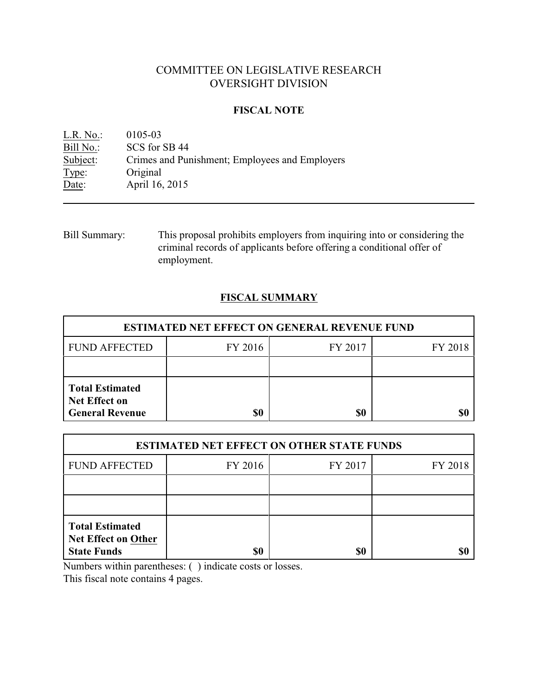# COMMITTEE ON LEGISLATIVE RESEARCH OVERSIGHT DIVISION

### **FISCAL NOTE**

<u>L.R. No.:</u> 0105-03<br>Bill No.: SCS for : Bill No.: SCS for SB 44<br>Subject: Crimes and Pur Crimes and Punishment; Employees and Employers Type: Original Date: **April 16, 2015** 

Bill Summary: This proposal prohibits employers from inquiring into or considering the criminal records of applicants before offering a conditional offer of employment.

## **FISCAL SUMMARY**

| <b>ESTIMATED NET EFFECT ON GENERAL REVENUE FUND</b>                      |         |         |         |  |
|--------------------------------------------------------------------------|---------|---------|---------|--|
| <b>FUND AFFECTED</b>                                                     | FY 2016 | FY 2017 | FY 2018 |  |
|                                                                          |         |         |         |  |
| <b>Total Estimated</b><br><b>Net Effect on</b><br><b>General Revenue</b> | \$0     | \$0     |         |  |

| <b>ESTIMATED NET EFFECT ON OTHER STATE FUNDS</b>                           |         |         |         |  |
|----------------------------------------------------------------------------|---------|---------|---------|--|
| <b>FUND AFFECTED</b>                                                       | FY 2016 | FY 2017 | FY 2018 |  |
|                                                                            |         |         |         |  |
|                                                                            |         |         |         |  |
| <b>Total Estimated</b><br><b>Net Effect on Other</b><br><b>State Funds</b> | \$0     | \$0     |         |  |

Numbers within parentheses: ( ) indicate costs or losses.

This fiscal note contains 4 pages.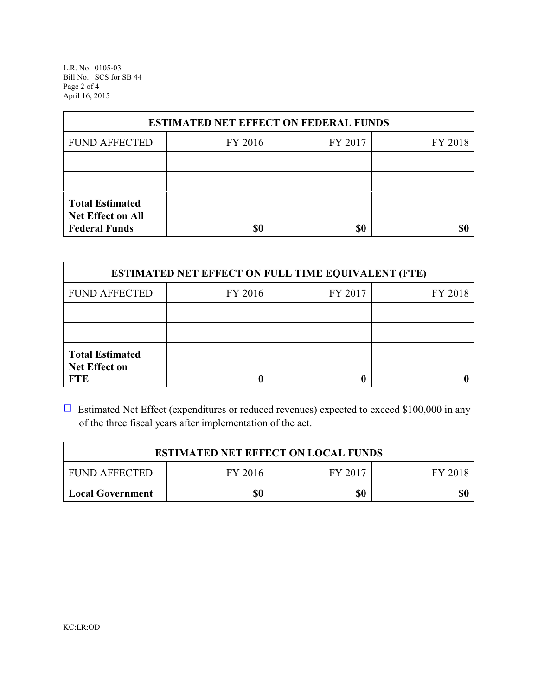L.R. No. 0105-03 Bill No. SCS for SB 44 Page 2 of 4 April 16, 2015

| <b>ESTIMATED NET EFFECT ON FEDERAL FUNDS</b>                        |         |         |         |  |
|---------------------------------------------------------------------|---------|---------|---------|--|
| <b>FUND AFFECTED</b>                                                | FY 2016 | FY 2017 | FY 2018 |  |
|                                                                     |         |         |         |  |
|                                                                     |         |         |         |  |
| <b>Total Estimated</b><br>Net Effect on All<br><b>Federal Funds</b> | \$0     | \$0     |         |  |

| <b>ESTIMATED NET EFFECT ON FULL TIME EQUIVALENT (FTE)</b>    |         |         |         |  |
|--------------------------------------------------------------|---------|---------|---------|--|
| <b>FUND AFFECTED</b>                                         | FY 2016 | FY 2017 | FY 2018 |  |
|                                                              |         |         |         |  |
|                                                              |         |         |         |  |
| <b>Total Estimated</b><br><b>Net Effect on</b><br><b>FTE</b> |         |         |         |  |

 $\Box$  Estimated Net Effect (expenditures or reduced revenues) expected to exceed \$100,000 in any of the three fiscal years after implementation of the act.

| <b>ESTIMATED NET EFFECT ON LOCAL FUNDS</b> |         |         |         |
|--------------------------------------------|---------|---------|---------|
| <b>FUND AFFECTED</b>                       | FY 2016 | FY 2017 | FY 2018 |
| Local Government                           | \$0     | \$0     | \$0     |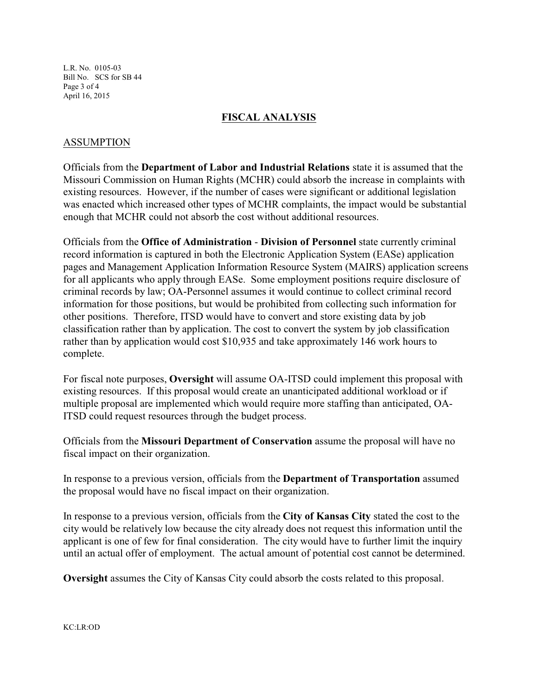L.R. No. 0105-03 Bill No. SCS for SB 44 Page 3 of 4 April 16, 2015

#### **FISCAL ANALYSIS**

#### ASSUMPTION

Officials from the **Department of Labor and Industrial Relations** state it is assumed that the Missouri Commission on Human Rights (MCHR) could absorb the increase in complaints with existing resources. However, if the number of cases were significant or additional legislation was enacted which increased other types of MCHR complaints, the impact would be substantial enough that MCHR could not absorb the cost without additional resources.

Officials from the **Office of Administration** - **Division of Personnel** state currently criminal record information is captured in both the Electronic Application System (EASe) application pages and Management Application Information Resource System (MAIRS) application screens for all applicants who apply through EASe. Some employment positions require disclosure of criminal records by law; OA-Personnel assumes it would continue to collect criminal record information for those positions, but would be prohibited from collecting such information for other positions. Therefore, ITSD would have to convert and store existing data by job classification rather than by application. The cost to convert the system by job classification rather than by application would cost \$10,935 and take approximately 146 work hours to complete.

For fiscal note purposes, **Oversight** will assume OA-ITSD could implement this proposal with existing resources. If this proposal would create an unanticipated additional workload or if multiple proposal are implemented which would require more staffing than anticipated, OA-ITSD could request resources through the budget process.

Officials from the **Missouri Department of Conservation** assume the proposal will have no fiscal impact on their organization.

In response to a previous version, officials from the **Department of Transportation** assumed the proposal would have no fiscal impact on their organization.

In response to a previous version, officials from the **City of Kansas City** stated the cost to the city would be relatively low because the city already does not request this information until the applicant is one of few for final consideration. The city would have to further limit the inquiry until an actual offer of employment. The actual amount of potential cost cannot be determined.

**Oversight** assumes the City of Kansas City could absorb the costs related to this proposal.